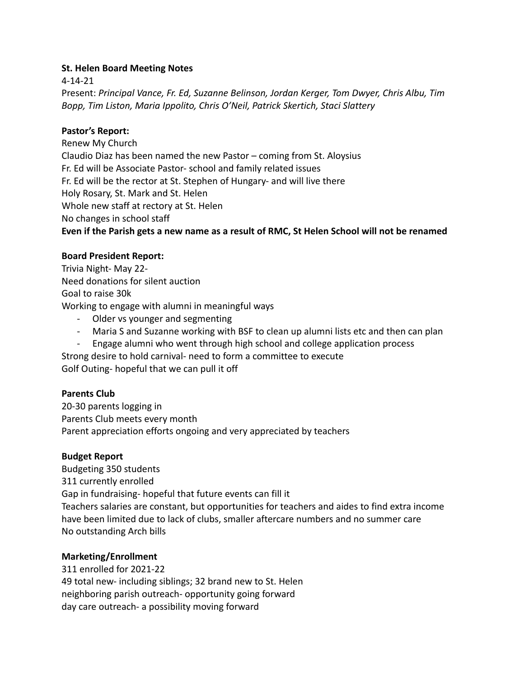## **St. Helen Board Meeting Notes**

4-14-21 Present: *Principal Vance, Fr. Ed, Suzanne Belinson, Jordan Kerger, Tom Dwyer, Chris Albu, Tim Bopp, Tim Liston, Maria Ippolito, Chris O'Neil, Patrick Skertich, Staci Slattery*

## **Pastor's Report:**

Renew My Church Claudio Diaz has been named the new Pastor – coming from St. Aloysius Fr. Ed will be Associate Pastor- school and family related issues Fr. Ed will be the rector at St. Stephen of Hungary- and will live there Holy Rosary, St. Mark and St. Helen Whole new staff at rectory at St. Helen No changes in school staff **Even if the Parish gets a new name as a result of RMC, St Helen School will not be renamed**

### **Board President Report:**

Trivia Night- May 22- Need donations for silent auction Goal to raise 30k Working to engage with alumni in meaningful ways

- Older vs younger and segmenting
- Maria S and Suzanne working with BSF to clean up alumni lists etc and then can plan
- Engage alumni who went through high school and college application process

Strong desire to hold carnival- need to form a committee to execute Golf Outing- hopeful that we can pull it off

# **Parents Club**

20-30 parents logging in Parents Club meets every month Parent appreciation efforts ongoing and very appreciated by teachers

# **Budget Report**

Budgeting 350 students 311 currently enrolled Gap in fundraising- hopeful that future events can fill it Teachers salaries are constant, but opportunities for teachers and aides to find extra income have been limited due to lack of clubs, smaller aftercare numbers and no summer care No outstanding Arch bills

# **Marketing/Enrollment**

311 enrolled for 2021-22 49 total new- including siblings; 32 brand new to St. Helen neighboring parish outreach- opportunity going forward day care outreach- a possibility moving forward